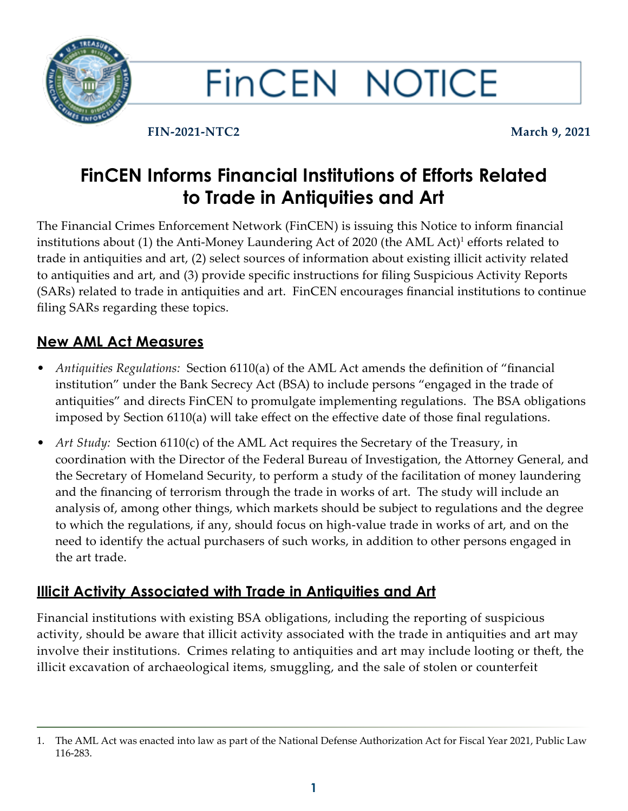

# **FINCEN NOTICE**

**FIN-2021-NTC2 March 9, 2021**

# **FinCEN Informs Financial Institutions of Efforts Related to Trade in Antiquities and Art**

The Financial Crimes Enforcement Network (FinCEN) is issuing this Notice to inform financial institutions about  $(1)$  the Anti-Money Laundering Act of 2020 (the AML Act)<sup>1</sup> efforts related to trade in antiquities and art, (2) select sources of information about existing illicit activity related to antiquities and art, and (3) provide specific instructions for filing Suspicious Activity Reports (SARs) related to trade in antiquities and art. FinCEN encourages financial institutions to continue filing SARs regarding these topics.

## **New AML Act Measures**

- *Antiquities Regulations:* Section 6110(a) of the AML Act amends the definition of "financial institution" under the Bank Secrecy Act (BSA) to include persons "engaged in the trade of antiquities" and directs FinCEN to promulgate implementing regulations. The BSA obligations imposed by Section 6110(a) will take effect on the effective date of those final regulations.
- *Art Study:* Section 6110(c) of the AML Act requires the Secretary of the Treasury, in coordination with the Director of the Federal Bureau of Investigation, the Attorney General, and the Secretary of Homeland Security, to perform a study of the facilitation of money laundering and the financing of terrorism through the trade in works of art. The study will include an analysis of, among other things, which markets should be subject to regulations and the degree to which the regulations, if any, should focus on high-value trade in works of art, and on the need to identify the actual purchasers of such works, in addition to other persons engaged in the art trade.

### **Illicit Activity Associated with Trade in Antiquities and Art**

Financial institutions with existing BSA obligations, including the reporting of suspicious activity, should be aware that illicit activity associated with the trade in antiquities and art may involve their institutions. Crimes relating to antiquities and art may include looting or theft, the illicit excavation of archaeological items, smuggling, and the sale of stolen or counterfeit

<sup>1.</sup> The AML Act was enacted into law as part of the National Defense Authorization Act for Fiscal Year 2021, Public Law 116-283.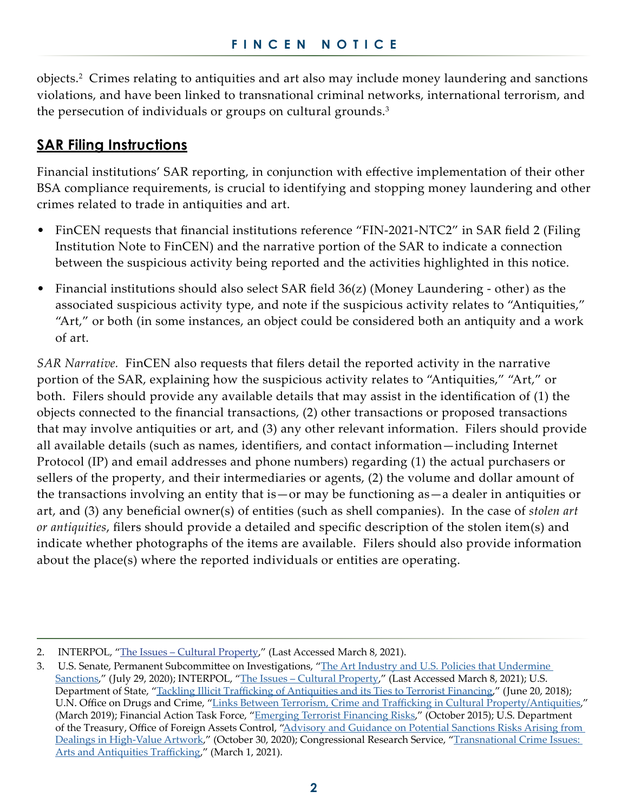objects.<sup>2</sup> Crimes relating to antiquities and art also may include money laundering and sanctions violations, and have been linked to transnational criminal networks, international terrorism, and the persecution of individuals or groups on cultural grounds.<sup>3</sup>

#### **SAR Filing Instructions**

Financial institutions' SAR reporting, in conjunction with effective implementation of their other BSA compliance requirements, is crucial to identifying and stopping money laundering and other crimes related to trade in antiquities and art.

- FinCEN requests that financial institutions reference "FIN-2021-NTC2" in SAR field 2 (Filing Institution Note to FinCEN) and the narrative portion of the SAR to indicate a connection between the suspicious activity being reported and the activities highlighted in this notice.
- Financial institutions should also select SAR field 36(z) (Money Laundering other) as the associated suspicious activity type, and note if the suspicious activity relates to "Antiquities," "Art," or both (in some instances, an object could be considered both an antiquity and a work of art.

*SAR Narrative.* FinCEN also requests that filers detail the reported activity in the narrative portion of the SAR, explaining how the suspicious activity relates to "Antiquities," "Art," or both. Filers should provide any available details that may assist in the identification of (1) the objects connected to the financial transactions, (2) other transactions or proposed transactions that may involve antiquities or art, and (3) any other relevant information. Filers should provide all available details (such as names, identifiers, and contact information—including Internet Protocol (IP) and email addresses and phone numbers) regarding (1) the actual purchasers or sellers of the property, and their intermediaries or agents, (2) the volume and dollar amount of the transactions involving an entity that is—or may be functioning as—a dealer in antiquities or art, and (3) any beneficial owner(s) of entities (such as shell companies). In the case of *stolen art or antiquities*, filers should provide a detailed and specific description of the stolen item(s) and indicate whether photographs of the items are available. Filers should also provide information about the place(s) where the reported individuals or entities are operating.

<sup>2.</sup> INTERPOL, "The Issues - Cultural Property," (Last Accessed March 8, 2021).

<sup>3.</sup> U.S. Senate, Permanent Subcommittee on Investigations, "[The Art Industry and U.S. Policies that Undermine](https://www.hsgac.senate.gov/imo/media/doc/2020-07-29 PSI Staff Report - The Art Industry and U.S. Policies that Undermine Sanctions.pdf)  [Sanctions](https://www.hsgac.senate.gov/imo/media/doc/2020-07-29 PSI Staff Report - The Art Industry and U.S. Policies that Undermine Sanctions.pdf)," (July 29, 2020); INTERPOL, "The Issues - Cultural Property," (Last Accessed March 8, 2021); U.S. Department of State, "[Tackling Illicit Trafficking of Antiquities and its Ties to Terrorist Financing](https://2017-2021.state.gov/tackling-illicit-trafficking-of-antiquities-and-its-ties-to-terrorist-financing/index.html)," (June 20, 2018); U.N. Office on Drugs and Crime, ["Links Between Terrorism, Crime and Trafficking in Cultural Property/Antiquities](https://www.unodc.org/e4j/en/organized-crime/module-16/key-issues/links-between-terrorism--crime-and-trafficking-in-cultural-property---antiquities.html)," (March 2019); Financial Action Task Force, ["Emerging Terrorist Financing Risks,](http://www.fatf-gafi.org/publications/methodsandtrends/documents/emerging-terrorist-financing-risks.html)" (October 2015); U.S. Department of the Treasury, Office of Foreign Assets Control, ["Advisory and Guidance on Potential Sanctions Risks Arising from](https://home.treasury.gov/system/files/126/ofac_art_advisory_10302020.pdf)  [Dealings in High-Value Artwork](https://home.treasury.gov/system/files/126/ofac_art_advisory_10302020.pdf)," (October 30, 2020); Congressional Research Service, "Transnational Crime Issues: [Arts and Antiquities Trafficking](https://crsreports.congress.gov/product/pdf/IF/IF11776)," (March 1, 2021).